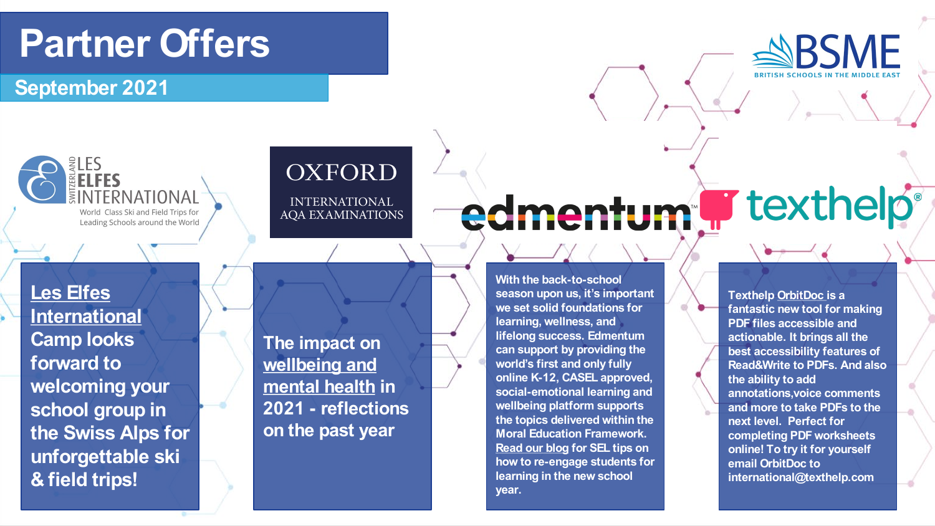## **Partner Offers**

**September 2021**



### **OXFORD**

**INTERNATIONAL AOA EXAMINATIONS** 

**Les Elfes [International](https://www.leselfes.com/ski-trips/) Camp looks forward to welcoming your school group in the Swiss Alps for unforgettable ski & field trips!**

**The impact on [wellbeing and](https://educationblog.oup.com/international/reflections-from-the-past-year?dm_i=40S9,1BTQQ,5QTMKZ,4T804,1)  mental healt[h](https://educationblog.oup.com/international/reflections-from-the-past-year?dm_i=40S9,1BTQQ,5QTMKZ,4T804,1) in 2021 - reflections on the past year**

#### **With the back-to-school season upon us, it's important we set solid foundations for learning, wellness, and lifelong success. Edmentum can support by providing the world's first and only fully online K-12, CASEL approved, social-emotional learning and wellbeing platform supports the topics delivered within the Moral Education Framework. [Read our blog](https://www.edmentuminternational.com/blog/re-engaging-for-learning-in-the-new-school-year/) [f](https://www.edmentuminternational.com/blog/re-engaging-for-learning-in-the-new-school-year/)or SEL tips on how to re-engage students for learning in the new school year.**

edmentum F texthelp

**Texthelp [OrbitDoc](https://www.texthelp.com/en-gb/products/orbitdoc/) is a fantastic new tool for making PDF files accessible and actionable. It brings all the best accessibility features of Read&Write to PDFs. And also the ability to add annotations,voice comments and more to take PDFs to the next level. Perfect for completing PDF worksheets online! To try it for yourself email OrbitDoc to international@texthelp.com**

**SBSME**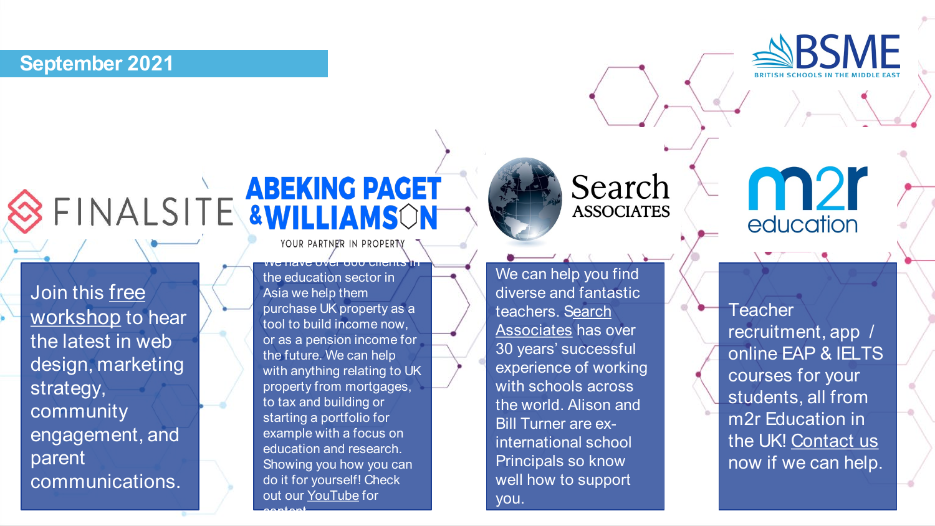#### **September 2021**



[Join this free](https://www.schoolmarketingday.com/workshops)  workshop to hear the latest in web design, marketing strategy, community engagement, and parent communications.

YOUR PARTNER IN PROPERTY

we have one structure to the state of the the education sector in Asia we help them purchase UK property as a tool to build income now, or as a pension income for the future. We can help with anything relating to UK property from mortgages, to tax and building or starting a portfolio for example with a focus on education and research. Showing you how you can do it for yourself! Check out our [YouTube](https://www.youtube.com/channel/UCdYOypGsybw24FqAUioXfwQ) for

content.



We can help you find diverse and fantastic [teachers. Search](https://www.searchassociates.com) Associates has over 30 years' successful experience of working with schools across the world. Alison and Bill Turner are exinternational school Principals so know well how to support you.

**n2r** education

**SBSME** 

**Teacher** recruitment, app / online EAP & IELTS courses for your students, all from m2r Education in the UK! [Contact us](http://www.m2rglobal.com) now if we can help.